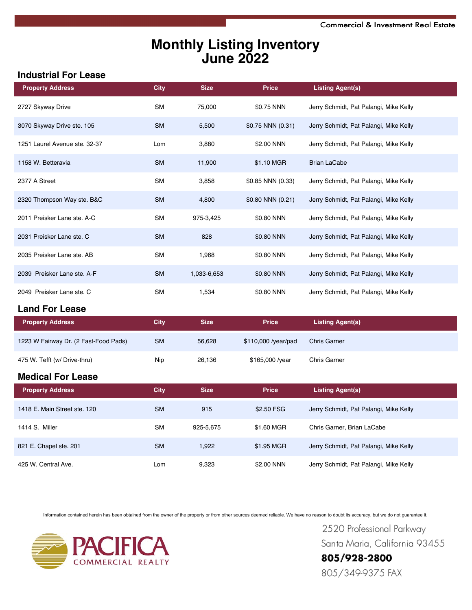# **Monthly Listing Inventory June 2022**

#### **Industrial For Lease**

| <b>Property Address</b>               | <b>City</b> | <b>Size</b> | <b>Price</b>        | <b>Listing Agent(s)</b>                |
|---------------------------------------|-------------|-------------|---------------------|----------------------------------------|
| 2727 Skyway Drive                     | <b>SM</b>   | 75,000      | \$0.75 NNN          | Jerry Schmidt, Pat Palangi, Mike Kelly |
| 3070 Skyway Drive ste. 105            | <b>SM</b>   | 5,500       | \$0.75 NNN (0.31)   | Jerry Schmidt, Pat Palangi, Mike Kelly |
| 1251 Laurel Avenue ste. 32-37         | Lom         | 3,880       | \$2.00 NNN          | Jerry Schmidt, Pat Palangi, Mike Kelly |
| 1158 W. Betteravia                    | <b>SM</b>   | 11,900      | \$1.10 MGR          | <b>Brian LaCabe</b>                    |
| 2377 A Street                         | <b>SM</b>   | 3,858       | \$0.85 NNN (0.33)   | Jerry Schmidt, Pat Palangi, Mike Kelly |
| 2320 Thompson Way ste. B&C            | <b>SM</b>   | 4,800       | \$0.80 NNN (0.21)   | Jerry Schmidt, Pat Palangi, Mike Kelly |
| 2011 Preisker Lane ste. A-C           | <b>SM</b>   | 975-3,425   | \$0.80 NNN          | Jerry Schmidt, Pat Palangi, Mike Kelly |
| 2031 Preisker Lane ste. C             | <b>SM</b>   | 828         | \$0.80 NNN          | Jerry Schmidt, Pat Palangi, Mike Kelly |
| 2035 Preisker Lane ste. AB            | <b>SM</b>   | 1,968       | \$0.80 NNN          | Jerry Schmidt, Pat Palangi, Mike Kelly |
| 2039 Preisker Lane ste. A-F           | <b>SM</b>   | 1,033-6,653 | \$0.80 NNN          | Jerry Schmidt, Pat Palangi, Mike Kelly |
| 2049 Preisker Lane ste. C             | <b>SM</b>   | 1,534       | \$0.80 NNN          | Jerry Schmidt, Pat Palangi, Mike Kelly |
| <b>Land For Lease</b>                 |             |             |                     |                                        |
| <b>Property Address</b>               | <b>City</b> | <b>Size</b> | <b>Price</b>        | <b>Listing Agent(s)</b>                |
| 1223 W Fairway Dr. (2 Fast-Food Pads) | <b>SM</b>   | 56,628      | \$110,000 /year/pad | <b>Chris Garner</b>                    |
| 475 W. Tefft (w/ Drive-thru)          | Nip         | 26,136      | \$165,000 /year     | Chris Garner                           |
| <b>Medical For Lease</b>              |             |             |                     |                                        |
| <b>Property Address</b>               | <b>City</b> | <b>Size</b> | <b>Price</b>        | <b>Listing Agent(s)</b>                |
| 1418 E. Main Street ste. 120          | <b>SM</b>   | 915         | \$2.50 FSG          | Jerry Schmidt, Pat Palangi, Mike Kelly |
| 1414 S. Miller                        | <b>SM</b>   | 925-5,675   | \$1.60 MGR          | Chris Garner, Brian LaCabe             |
| 821 E. Chapel ste. 201                | <b>SM</b>   | 1,922       | \$1.95 MGR          | Jerry Schmidt, Pat Palangi, Mike Kelly |
| 425 W. Central Ave.                   | Lom         | 9,323       | \$2.00 NNN          | Jerry Schmidt, Pat Palangi, Mike Kelly |

Information contained herein has been obtained from the owner of the property or from other sources deemed reliable. We have no reason to doubt its accuracy, but we do not guarantee it.



2520 Professional Parkway Santa Maria, California 93455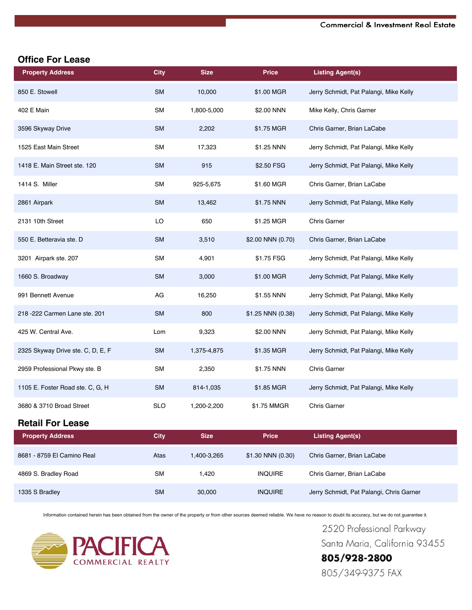### **Office For Lease**

| <b>Property Address</b>           | <b>City</b> | <b>Size</b> | <b>Price</b>      | <b>Listing Agent(s)</b>                  |
|-----------------------------------|-------------|-------------|-------------------|------------------------------------------|
| 850 E. Stowell                    | <b>SM</b>   | 10,000      | \$1.00 MGR        | Jerry Schmidt, Pat Palangi, Mike Kelly   |
| 402 E Main                        | <b>SM</b>   | 1,800-5,000 | \$2.00 NNN        | Mike Kelly, Chris Garner                 |
| 3596 Skyway Drive                 | <b>SM</b>   | 2,202       | \$1.75 MGR        | Chris Garner, Brian LaCabe               |
| 1525 East Main Street             | SM          | 17,323      | \$1.25 NNN        | Jerry Schmidt, Pat Palangi, Mike Kelly   |
| 1418 E. Main Street ste. 120      | <b>SM</b>   | 915         | \$2.50 FSG        | Jerry Schmidt, Pat Palangi, Mike Kelly   |
| 1414 S. Miller                    | SM          | 925-5,675   | \$1.60 MGR        | Chris Garner, Brian LaCabe               |
| 2861 Airpark                      | <b>SM</b>   | 13,462      | \$1.75 NNN        | Jerry Schmidt, Pat Palangi, Mike Kelly   |
| 2131 10th Street                  | LO          | 650         | \$1.25 MGR        | <b>Chris Garner</b>                      |
| 550 E. Betteravia ste. D          | <b>SM</b>   | 3,510       | \$2.00 NNN (0.70) | Chris Garner, Brian LaCabe               |
| 3201 Airpark ste. 207             | <b>SM</b>   | 4,901       | \$1.75 FSG        | Jerry Schmidt, Pat Palangi, Mike Kelly   |
| 1660 S. Broadway                  | <b>SM</b>   | 3,000       | \$1.00 MGR        | Jerry Schmidt, Pat Palangi, Mike Kelly   |
| 991 Bennett Avenue                | AG          | 16,250      | \$1.55 NNN        | Jerry Schmidt, Pat Palangi, Mike Kelly   |
| 218 - 222 Carmen Lane ste. 201    | <b>SM</b>   | 800         | \$1.25 NNN (0.38) | Jerry Schmidt, Pat Palangi, Mike Kelly   |
| 425 W. Central Ave.               | Lom         | 9,323       | \$2.00 NNN        | Jerry Schmidt, Pat Palangi, Mike Kelly   |
| 2325 Skyway Drive ste. C, D, E, F | <b>SM</b>   | 1,375-4,875 | \$1.35 MGR        | Jerry Schmidt, Pat Palangi, Mike Kelly   |
| 2959 Professional Pkwy ste. B     | <b>SM</b>   | 2,350       | \$1.75 NNN        | <b>Chris Garner</b>                      |
| 1105 E. Foster Road ste. C, G, H  | <b>SM</b>   | 814-1,035   | \$1.85 MGR        | Jerry Schmidt, Pat Palangi, Mike Kelly   |
| 3680 & 3710 Broad Street          | <b>SLO</b>  | 1,200-2,200 | \$1.75 MMGR       | <b>Chris Garner</b>                      |
| <b>Retail For Lease</b>           |             |             |                   |                                          |
| <b>Property Address</b>           | <b>City</b> | <b>Size</b> | <b>Price</b>      | <b>Listing Agent(s)</b>                  |
| 8681 - 8759 El Camino Real        | Atas        | 1,400-3,265 | \$1.30 NNN (0.30) | Chris Garner, Brian LaCabe               |
| 4869 S. Bradley Road              | SM          | 1,420       | <b>INQUIRE</b>    | Chris Garner, Brian LaCabe               |
| 1335 S Bradley                    | SM          | 30,000      | <b>INQUIRE</b>    | Jerry Schmidt, Pat Palangi, Chris Garner |

Information contained herein has been obtained from the owner of the property or from other sources deemed reliable. We have no reason to doubt its accuracy, but we do not guarantee it.



2520 Professional Parkway Santa Maria, California 93455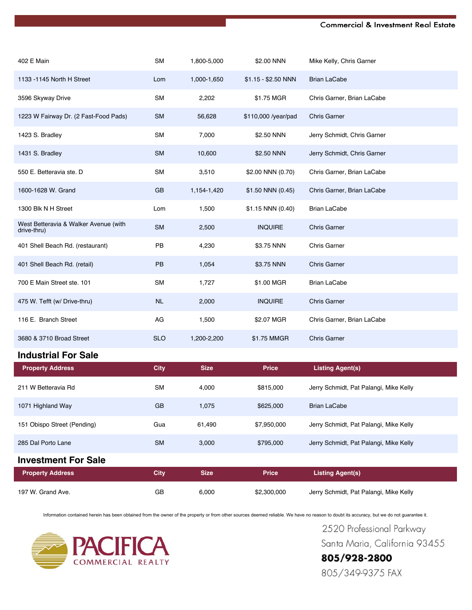#### **Commercial & Investment Real Estate**

| 402 E Main                                           | <b>SM</b>   | 1,800-5,000 | \$2.00 NNN          | Mike Kelly, Chris Garner               |
|------------------------------------------------------|-------------|-------------|---------------------|----------------------------------------|
| 1133 - 1145 North H Street                           | Lom         | 1,000-1,650 | \$1.15 - \$2.50 NNN | <b>Brian LaCabe</b>                    |
| 3596 Skyway Drive                                    | SM          | 2,202       | \$1.75 MGR          | Chris Garner, Brian LaCabe             |
| 1223 W Fairway Dr. (2 Fast-Food Pads)                | <b>SM</b>   | 56,628      | \$110,000 /year/pad | <b>Chris Garner</b>                    |
| 1423 S. Bradley                                      | SM          | 7,000       | \$2.50 NNN          | Jerry Schmidt, Chris Garner            |
| 1431 S. Bradley                                      | <b>SM</b>   | 10,600      | \$2.50 NNN          | Jerry Schmidt, Chris Garner            |
| 550 E. Betteravia ste. D                             | <b>SM</b>   | 3,510       | \$2.00 NNN (0.70)   | Chris Garner, Brian LaCabe             |
| 1600-1628 W. Grand                                   | GB          | 1,154-1,420 | \$1.50 NNN (0.45)   | Chris Garner, Brian LaCabe             |
| 1300 Blk N H Street                                  | Lom         | 1,500       | \$1.15 NNN (0.40)   | <b>Brian LaCabe</b>                    |
| West Betteravia & Walker Avenue (with<br>drive-thru) | <b>SM</b>   | 2,500       | <b>INQUIRE</b>      | <b>Chris Garner</b>                    |
| 401 Shell Beach Rd. (restaurant)                     | PB          | 4,230       | \$3.75 NNN          | Chris Garner                           |
| 401 Shell Beach Rd. (retail)                         | PB          | 1,054       | \$3.75 NNN          | <b>Chris Garner</b>                    |
| 700 E Main Street ste. 101                           | SM          | 1,727       | \$1.00 MGR          | <b>Brian LaCabe</b>                    |
| 475 W. Tefft (w/ Drive-thru)                         | <b>NL</b>   | 2,000       | <b>INQUIRE</b>      | <b>Chris Garner</b>                    |
| 116 E. Branch Street                                 | AG          | 1,500       | \$2.07 MGR          | Chris Garner, Brian LaCabe             |
| 3680 & 3710 Broad Street                             | <b>SLO</b>  | 1,200-2,200 | \$1.75 MMGR         | <b>Chris Garner</b>                    |
| <b>Industrial For Sale</b>                           |             |             |                     |                                        |
| <b>Property Address</b>                              | <b>City</b> | <b>Size</b> | <b>Price</b>        | <b>Listing Agent(s)</b>                |
| 211 W Betteravia Rd                                  | <b>SM</b>   | 4,000       | \$815,000           | Jerry Schmidt, Pat Palangi, Mike Kelly |
| 1071 Highland Way                                    | GB          | 1,075       | \$625,000           | <b>Brian LaCabe</b>                    |
| 151 Obispo Street (Pending)                          | Gua         | 61,490      | \$7,950,000         | Jerry Schmidt, Pat Palangi, Mike Kelly |
| 285 Dal Porto Lane                                   | <b>SM</b>   | 3,000       | \$795,000           | Jerry Schmidt, Pat Palangi, Mike Kelly |
| <b>Investment For Sale</b>                           |             |             |                     |                                        |
| <b>Property Address</b>                              | <b>City</b> | <b>Size</b> | <b>Price</b>        | <b>Listing Agent(s)</b>                |
| 197 W. Grand Ave.                                    | GB          | 6,000       | \$2,300,000         | Jerry Schmidt, Pat Palangi, Mike Kelly |

Information contained herein has been obtained from the owner of the property or from other sources deemed reliable. We have no reason to doubt its accuracy, but we do not guarantee it.



2520 Professional Parkway Santa Maria, California 93455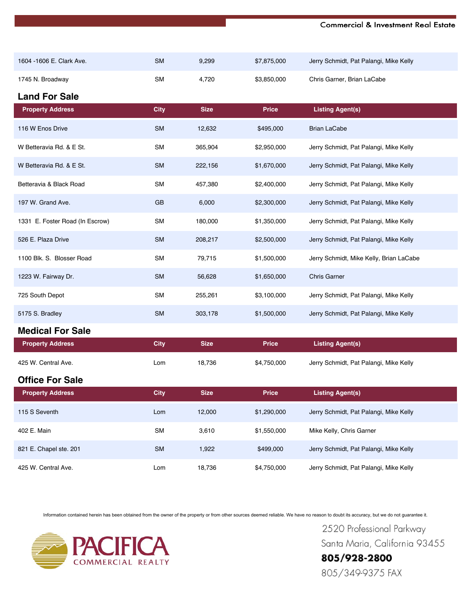#### **Commercial & Investment Real Estate**

| 1604 - 1606 E. Clark Ave.       | <b>SM</b>   | 9,299       | \$7,875,000  | Jerry Schmidt, Pat Palangi, Mike Kelly  |
|---------------------------------|-------------|-------------|--------------|-----------------------------------------|
| 1745 N. Broadway                | <b>SM</b>   | 4,720       | \$3,850,000  | Chris Garner, Brian LaCabe              |
| <b>Land For Sale</b>            |             |             |              |                                         |
| <b>Property Address</b>         | <b>City</b> | <b>Size</b> | <b>Price</b> | <b>Listing Agent(s)</b>                 |
| 116 W Enos Drive                | <b>SM</b>   | 12,632      | \$495,000    | <b>Brian LaCabe</b>                     |
| W Betteravia Rd. & E St.        | <b>SM</b>   | 365,904     | \$2,950,000  | Jerry Schmidt, Pat Palangi, Mike Kelly  |
| W Betteravia Rd. & E St.        | <b>SM</b>   | 222,156     | \$1,670,000  | Jerry Schmidt, Pat Palangi, Mike Kelly  |
| Betteravia & Black Road         | <b>SM</b>   | 457,380     | \$2,400,000  | Jerry Schmidt, Pat Palangi, Mike Kelly  |
| 197 W. Grand Ave.               | GB          | 6,000       | \$2,300,000  | Jerry Schmidt, Pat Palangi, Mike Kelly  |
| 1331 E. Foster Road (In Escrow) | <b>SM</b>   | 180,000     | \$1,350,000  | Jerry Schmidt, Pat Palangi, Mike Kelly  |
| 526 E. Plaza Drive              | <b>SM</b>   | 208,217     | \$2,500,000  | Jerry Schmidt, Pat Palangi, Mike Kelly  |
| 1100 Blk. S. Blosser Road       | <b>SM</b>   | 79,715      | \$1,500,000  | Jerry Schmidt, Mike Kelly, Brian LaCabe |
| 1223 W. Fairway Dr.             | <b>SM</b>   | 56,628      | \$1,650,000  | <b>Chris Garner</b>                     |
| 725 South Depot                 | <b>SM</b>   | 255,261     | \$3,100,000  | Jerry Schmidt, Pat Palangi, Mike Kelly  |
| 5175 S. Bradley                 | <b>SM</b>   | 303,178     | \$1,500,000  | Jerry Schmidt, Pat Palangi, Mike Kelly  |
| <b>Medical For Sale</b>         |             |             |              |                                         |
| <b>Property Address</b>         | <b>City</b> | <b>Size</b> | <b>Price</b> | <b>Listing Agent(s)</b>                 |
| 425 W. Central Ave.             | Lom         | 18,736      | \$4,750,000  | Jerry Schmidt, Pat Palangi, Mike Kelly  |
| <b>Office For Sale</b>          |             |             |              |                                         |
| <b>Property Address</b>         | <b>City</b> | <b>Size</b> | <b>Price</b> | <b>Listing Agent(s)</b>                 |
| 115 S Seventh                   | Lom         | 12,000      | \$1,290,000  | Jerry Schmidt, Pat Palangi, Mike Kelly  |
| 402 E. Main                     | SM          | 3,610       | \$1,550,000  | Mike Kelly, Chris Garner                |
| 821 E. Chapel ste. 201          | SM          | 1,922       | \$499,000    | Jerry Schmidt, Pat Palangi, Mike Kelly  |
| 425 W. Central Ave.             | Lom         | 18,736      | \$4,750,000  | Jerry Schmidt, Pat Palangi, Mike Kelly  |

Information contained herein has been obtained from the owner of the property or from other sources deemed reliable. We have no reason to doubt its accuracy, but we do not guarantee it.



2520 Professional Parkway Santa Maria, California 93455